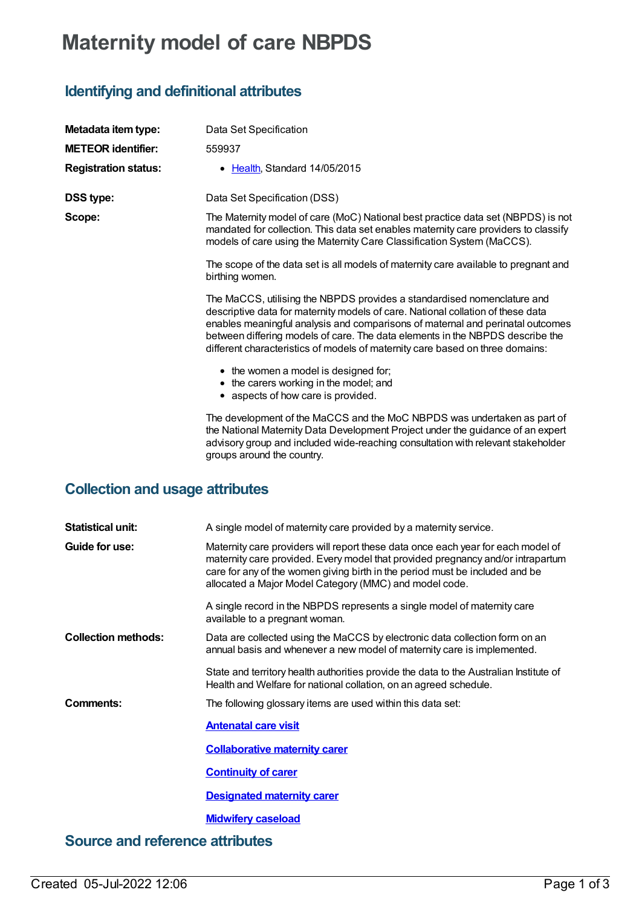## **Maternity model of care NBPDS**

## **Identifying and definitional attributes**

| Metadata item type:         | Data Set Specification                                                                                                                                                                                                                                                                                                                                                                                         |
|-----------------------------|----------------------------------------------------------------------------------------------------------------------------------------------------------------------------------------------------------------------------------------------------------------------------------------------------------------------------------------------------------------------------------------------------------------|
| <b>METEOR</b> identifier:   | 559937                                                                                                                                                                                                                                                                                                                                                                                                         |
| <b>Registration status:</b> | • Health, Standard 14/05/2015                                                                                                                                                                                                                                                                                                                                                                                  |
| <b>DSS type:</b>            | Data Set Specification (DSS)                                                                                                                                                                                                                                                                                                                                                                                   |
| Scope:                      | The Maternity model of care (MoC) National best practice data set (NBPDS) is not<br>mandated for collection. This data set enables maternity care providers to classify<br>models of care using the Maternity Care Classification System (MaCCS).                                                                                                                                                              |
|                             | The scope of the data set is all models of maternity care available to pregnant and<br>birthing women.                                                                                                                                                                                                                                                                                                         |
|                             | The MaCCS, utilising the NBPDS provides a standardised nomenclature and<br>descriptive data for maternity models of care. National collation of these data<br>enables meaningful analysis and comparisons of maternal and perinatal outcomes<br>between differing models of care. The data elements in the NBPDS describe the<br>different characteristics of models of maternity care based on three domains: |
|                             | • the women a model is designed for;<br>• the carers working in the model; and<br>• aspects of how care is provided.                                                                                                                                                                                                                                                                                           |
|                             | The development of the MaCCS and the MoC NBPDS was undertaken as part of<br>the National Maternity Data Development Project under the guidance of an expert<br>advisory group and included wide-reaching consultation with relevant stakeholder<br>groups around the country.                                                                                                                                  |

## **Collection and usage attributes**

| <b>Statistical unit:</b>               | A single model of maternity care provided by a maternity service.                                                                                                                                                                                                                                             |  |  |
|----------------------------------------|---------------------------------------------------------------------------------------------------------------------------------------------------------------------------------------------------------------------------------------------------------------------------------------------------------------|--|--|
| Guide for use:                         | Maternity care providers will report these data once each year for each model of<br>maternity care provided. Every model that provided pregnancy and/or intrapartum<br>care for any of the women giving birth in the period must be included and be<br>allocated a Major Model Category (MMC) and model code. |  |  |
|                                        | A single record in the NBPDS represents a single model of maternity care<br>available to a pregnant woman.                                                                                                                                                                                                    |  |  |
| <b>Collection methods:</b>             | Data are collected using the MaCCS by electronic data collection form on an<br>annual basis and whenever a new model of maternity care is implemented.                                                                                                                                                        |  |  |
|                                        | State and territory health authorities provide the data to the Australian Institute of<br>Health and Welfare for national collation, on an agreed schedule.                                                                                                                                                   |  |  |
| Comments:                              | The following glossary items are used within this data set:                                                                                                                                                                                                                                                   |  |  |
|                                        | <b>Antenatal care visit</b>                                                                                                                                                                                                                                                                                   |  |  |
|                                        | <b>Collaborative maternity carer</b>                                                                                                                                                                                                                                                                          |  |  |
|                                        | <b>Continuity of carer</b>                                                                                                                                                                                                                                                                                    |  |  |
|                                        | <b>Designated maternity carer</b>                                                                                                                                                                                                                                                                             |  |  |
|                                        | <b>Midwifery caseload</b>                                                                                                                                                                                                                                                                                     |  |  |
| <b>Source and reference attributes</b> |                                                                                                                                                                                                                                                                                                               |  |  |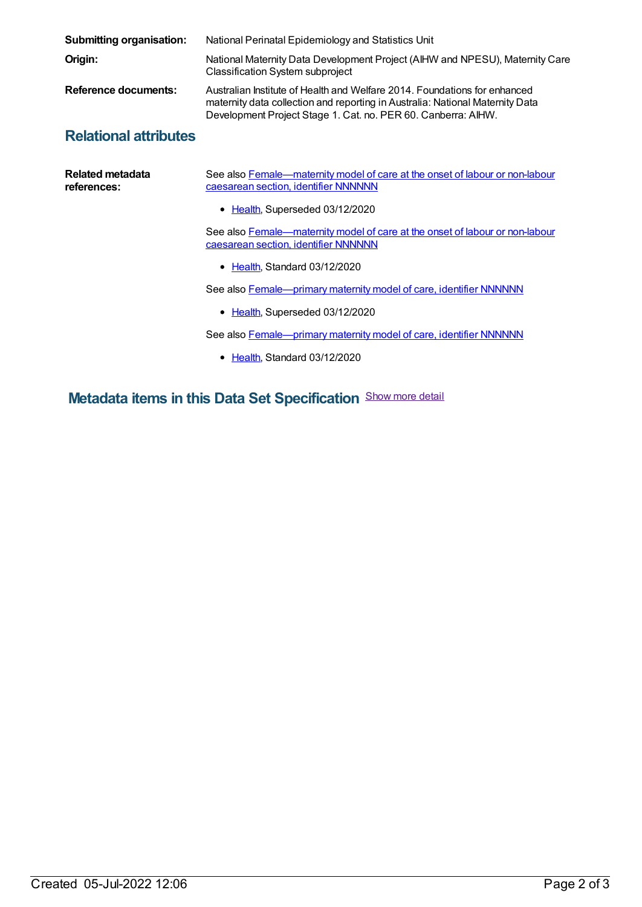| <b>Submitting organisation:</b> | National Perinatal Epidemiology and Statistics Unit                                                                                                                                                                         |
|---------------------------------|-----------------------------------------------------------------------------------------------------------------------------------------------------------------------------------------------------------------------------|
| Origin:                         | National Maternity Data Development Project (AIHW and NPESU), Maternity Care<br><b>Classification System subproject</b>                                                                                                     |
| Reference documents:            | Australian Institute of Health and Welfare 2014. Foundations for enhanced<br>maternity data collection and reporting in Australia: National Maternity Data<br>Development Project Stage 1. Cat. no. PER 60. Canberra: AIHW. |
| <b>Relational attributes</b>    |                                                                                                                                                                                                                             |

## **Relational attributes**

| Related metadata<br>references: | See also Female-maternity model of care at the onset of labour or non-labour<br>caesarean section, identifier NNNNNN |  |  |
|---------------------------------|----------------------------------------------------------------------------------------------------------------------|--|--|
|                                 | • Health, Superseded 03/12/2020                                                                                      |  |  |
|                                 | See also Female—maternity model of care at the onset of labour or non-labour<br>caesarean section, identifier NNNNNN |  |  |
|                                 | • Health Standard 03/12/2020                                                                                         |  |  |
|                                 | See also <b>Female</b> - primary maternity model of care, identifier NNNNNN                                          |  |  |
|                                 | • Health, Superseded 03/12/2020                                                                                      |  |  |
|                                 | See also Female—primary maternity model of care, identifier NNNNNN                                                   |  |  |
|                                 | • Health. Standard 03/12/2020                                                                                        |  |  |

**Metadata items in this Data Set Specification** Show more detail